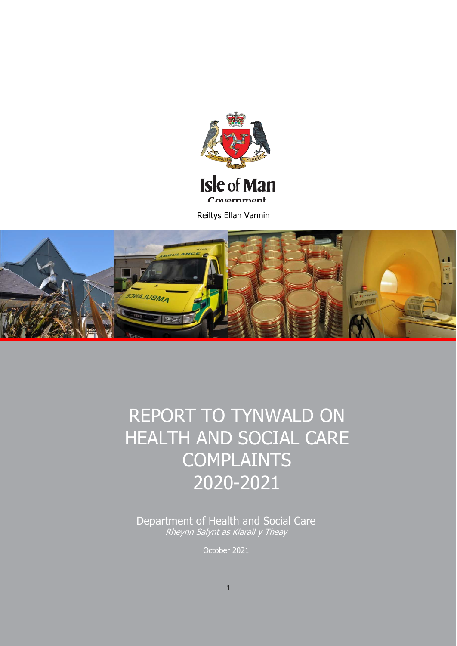

Reiltys Ellan Vannin



# REPORT TO TYNWALD ON HEALTH AND SOCIAL CARE **COMPLAINTS** 2020-2021

Department of Health and Social Care Rheynn Salynt as Kiarail y Theay

October 2021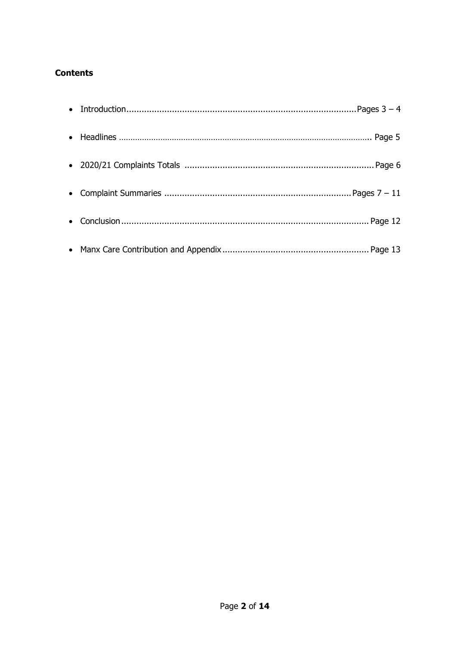# **Contents**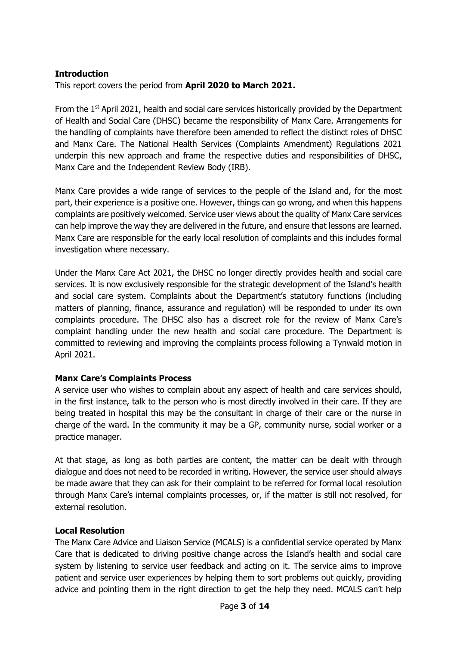#### **Introduction**

This report covers the period from **April 2020 to March 2021.**

From the  $1<sup>st</sup>$  April 2021, health and social care services historically provided by the Department of Health and Social Care (DHSC) became the responsibility of Manx Care. Arrangements for the handling of complaints have therefore been amended to reflect the distinct roles of DHSC and Manx Care. The National Health Services (Complaints Amendment) Regulations 2021 underpin this new approach and frame the respective duties and responsibilities of DHSC, Manx Care and the Independent Review Body (IRB).

Manx Care provides a wide range of services to the people of the Island and, for the most part, their experience is a positive one. However, things can go wrong, and when this happens complaints are positively welcomed. Service user views about the quality of Manx Care services can help improve the way they are delivered in the future, and ensure that lessons are learned. Manx Care are responsible for the early local resolution of complaints and this includes formal investigation where necessary.

Under the Manx Care Act 2021, the DHSC no longer directly provides health and social care services. It is now exclusively responsible for the strategic development of the Island's health and social care system. Complaints about the Department's statutory functions (including matters of planning, finance, assurance and regulation) will be responded to under its own complaints procedure. The DHSC also has a discreet role for the review of Manx Care's complaint handling under the new health and social care procedure. The Department is committed to reviewing and improving the complaints process following a Tynwald motion in April 2021.

#### **Manx Care's Complaints Process**

A service user who wishes to complain about any aspect of health and care services should, in the first instance, talk to the person who is most directly involved in their care. If they are being treated in hospital this may be the consultant in charge of their care or the nurse in charge of the ward. In the community it may be a GP, community nurse, social worker or a practice manager.

At that stage, as long as both parties are content, the matter can be dealt with through dialogue and does not need to be recorded in writing. However, the service user should always be made aware that they can ask for their complaint to be referred for formal local resolution through Manx Care's internal complaints processes, or, if the matter is still not resolved, for external resolution.

# **Local Resolution**

The Manx Care Advice and Liaison Service (MCALS) is a confidential service operated by Manx Care that is dedicated to driving positive change across the Island's health and social care system by listening to service user feedback and acting on it. The service aims to improve patient and service user experiences by helping them to sort problems out quickly, providing advice and pointing them in the right direction to get the help they need. MCALS can't help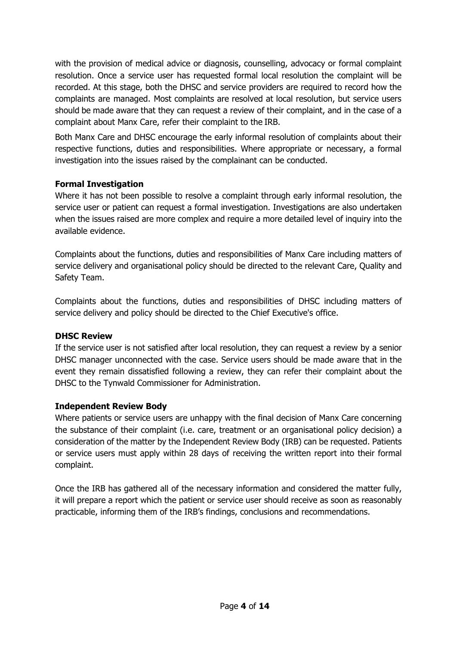with the provision of medical advice or diagnosis, counselling, advocacy or formal complaint resolution. Once a service user has requested formal local resolution the complaint will be recorded. At this stage, both the DHSC and service providers are required to record how the complaints are managed. Most complaints are resolved at local resolution, but service users should be made aware that they can request a review of their complaint, and in the case of a complaint about Manx Care, refer their complaint to the IRB.

Both Manx Care and DHSC encourage the early informal resolution of complaints about their respective functions, duties and responsibilities. Where appropriate or necessary, a formal investigation into the issues raised by the complainant can be conducted.

# **Formal Investigation**

Where it has not been possible to resolve a complaint through early informal resolution, the service user or patient can request a formal investigation. Investigations are also undertaken when the issues raised are more complex and require a more detailed level of inquiry into the available evidence.

Complaints about the functions, duties and responsibilities of Manx Care including matters of service delivery and organisational policy should be directed to the relevant Care, Quality and Safety Team.

Complaints about the functions, duties and responsibilities of DHSC including matters of service delivery and policy should be directed to the Chief Executive's office.

#### **DHSC Review**

If the service user is not satisfied after local resolution, they can request a review by a senior DHSC manager unconnected with the case. Service users should be made aware that in the event they remain dissatisfied following a review, they can refer their complaint about the DHSC to the Tynwald Commissioner for Administration.

# **Independent Review Body**

Where patients or service users are unhappy with the final decision of Manx Care concerning the substance of their complaint (i.e. care, treatment or an organisational policy decision) a consideration of the matter by the Independent Review Body (IRB) can be requested. Patients or service users must apply within 28 days of receiving the written report into their formal complaint.

Once the IRB has gathered all of the necessary information and considered the matter fully, it will prepare a report which the patient or service user should receive as soon as reasonably practicable, informing them of the IRB's findings, conclusions and recommendations.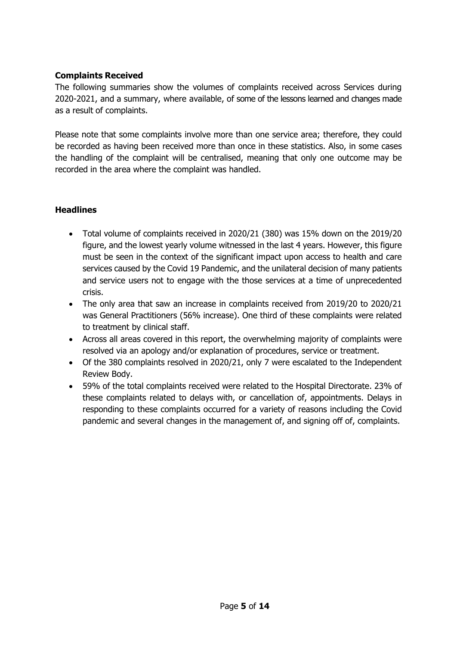### **Complaints Received**

The following summaries show the volumes of complaints received across Services during 2020-2021, and a summary, where available, of some of the lessons learned and changes made as a result of complaints.

Please note that some complaints involve more than one service area; therefore, they could be recorded as having been received more than once in these statistics. Also, in some cases the handling of the complaint will be centralised, meaning that only one outcome may be recorded in the area where the complaint was handled.

#### **Headlines**

- Total volume of complaints received in 2020/21 (380) was 15% down on the 2019/20 figure, and the lowest yearly volume witnessed in the last 4 years. However, this figure must be seen in the context of the significant impact upon access to health and care services caused by the Covid 19 Pandemic, and the unilateral decision of many patients and service users not to engage with the those services at a time of unprecedented crisis.
- The only area that saw an increase in complaints received from 2019/20 to 2020/21 was General Practitioners (56% increase). One third of these complaints were related to treatment by clinical staff.
- Across all areas covered in this report, the overwhelming majority of complaints were resolved via an apology and/or explanation of procedures, service or treatment.
- Of the 380 complaints resolved in 2020/21, only 7 were escalated to the Independent Review Body.
- 59% of the total complaints received were related to the Hospital Directorate. 23% of these complaints related to delays with, or cancellation of, appointments. Delays in responding to these complaints occurred for a variety of reasons including the Covid pandemic and several changes in the management of, and signing off of, complaints.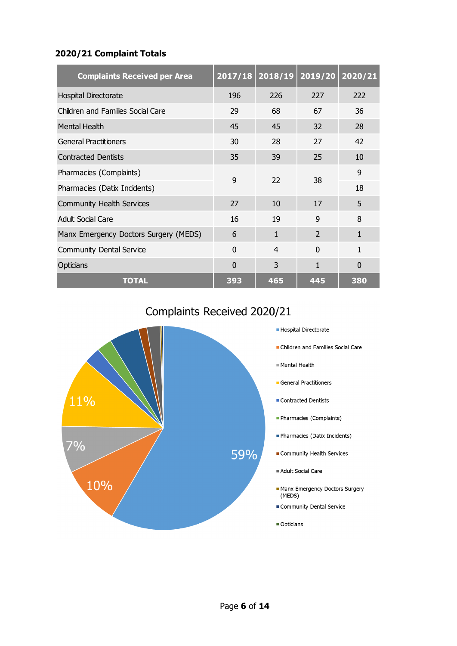#### **2020/21 Complaint Totals**

| <b>Complaints Received per Area</b>   |          | $2017/18$ 2018/19 | 2019/20                  | 2020/21  |
|---------------------------------------|----------|-------------------|--------------------------|----------|
| <b>Hospital Directorate</b>           | 196      | 226               | 227                      | 222      |
| Children and Families Social Care     | 29       | 68                | 67                       | 36       |
| <b>Mental Health</b>                  | 45       | 45                | 32                       | 28       |
| <b>General Practitioners</b>          | 30       | 28                | 27                       | 42       |
| <b>Contracted Dentists</b>            | 35       | 39                | 25                       | 10       |
| Pharmacies (Complaints)               | 9        | 22                | 38                       | 9        |
| Pharmacies (Datix Incidents)          |          |                   |                          | 18       |
| Community Health Services             | 27       | 10                | 17                       | 5        |
| Adult Social Care                     | 16       | 19                | 9                        | 8        |
| Manx Emergency Doctors Surgery (MEDS) | 6        | $\mathbf{1}$      | $\overline{\phantom{a}}$ | 1        |
| <b>Community Dental Service</b>       | $\Omega$ | $\overline{4}$    | $\Omega$                 | 1        |
| Opticians                             | $\Omega$ | 3                 | 1                        | $\Omega$ |
| <b>TOTAL</b>                          | 393      | 465               | 445                      | 380      |

# Complaints Received 2020/21

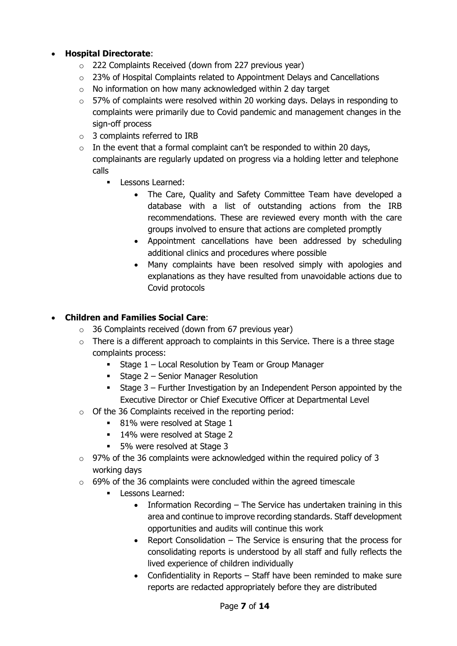# • **Hospital Directorate**:

- $\circ$  222 Complaints Received (down from 227 previous year)
- $\circ$  23% of Hospital Complaints related to Appointment Delays and Cancellations
- $\circ$  No information on how many acknowledged within 2 day target
- $\circ$  57% of complaints were resolved within 20 working days. Delays in responding to complaints were primarily due to Covid pandemic and management changes in the sign-off process
- o 3 complaints referred to IRB
- $\circ$  In the event that a formal complaint can't be responded to within 20 days, complainants are regularly updated on progress via a holding letter and telephone calls
	- **Lessons Learned:** 
		- The Care, Quality and Safety Committee Team have developed a database with a list of outstanding actions from the IRB recommendations. These are reviewed every month with the care groups involved to ensure that actions are completed promptly
		- Appointment cancellations have been addressed by scheduling additional clinics and procedures where possible
		- Many complaints have been resolved simply with apologies and explanations as they have resulted from unavoidable actions due to Covid protocols

# • **Children and Families Social Care**:

- $\circ$  36 Complaints received (down from 67 previous year)
- $\circ$  There is a different approach to complaints in this Service. There is a three stage complaints process:
	- **Stage 1 Local Resolution by Team or Group Manager**
	- **Stage 2 Senior Manager Resolution**
	- Stage 3 Further Investigation by an Independent Person appointed by the Executive Director or Chief Executive Officer at Departmental Level
- o Of the 36 Complaints received in the reporting period:
	- **81%** were resolved at Stage 1
	- 14% were resolved at Stage 2
	- 5% were resolved at Stage 3
- $\circ$  97% of the 36 complaints were acknowledged within the required policy of 3 working days
- $\circ$  69% of the 36 complaints were concluded within the agreed timescale
	- **Lessons Learned:** 
		- Information Recording The Service has undertaken training in this area and continue to improve recording standards. Staff development opportunities and audits will continue this work
		- Report Consolidation The Service is ensuring that the process for consolidating reports is understood by all staff and fully reflects the lived experience of children individually
		- Confidentiality in Reports Staff have been reminded to make sure reports are redacted appropriately before they are distributed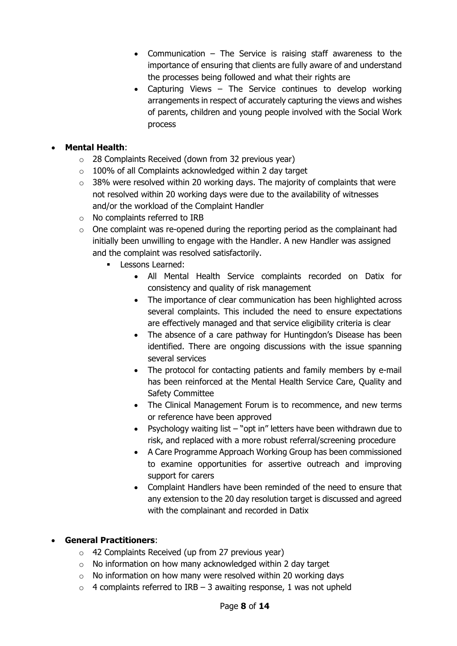- Communication The Service is raising staff awareness to the importance of ensuring that clients are fully aware of and understand the processes being followed and what their rights are
- Capturing Views The Service continues to develop working arrangements in respect of accurately capturing the views and wishes of parents, children and young people involved with the Social Work process

# • **Mental Health**:

- $\circ$  28 Complaints Received (down from 32 previous year)
- $\circ$  100% of all Complaints acknowledged within 2 day target
- $\circ$  38% were resolved within 20 working days. The majority of complaints that were not resolved within 20 working days were due to the availability of witnesses and/or the workload of the Complaint Handler
- o No complaints referred to IRB
- $\circ$  One complaint was re-opened during the reporting period as the complainant had initially been unwilling to engage with the Handler. A new Handler was assigned and the complaint was resolved satisfactorily.
	- **Lessons Learned:** 
		- All Mental Health Service complaints recorded on Datix for consistency and quality of risk management
		- The importance of clear communication has been highlighted across several complaints. This included the need to ensure expectations are effectively managed and that service eligibility criteria is clear
		- The absence of a care pathway for Huntingdon's Disease has been identified. There are ongoing discussions with the issue spanning several services
		- The protocol for contacting patients and family members by e-mail has been reinforced at the Mental Health Service Care, Quality and Safety Committee
		- The Clinical Management Forum is to recommence, and new terms or reference have been approved
		- Psychology waiting list "opt in" letters have been withdrawn due to risk, and replaced with a more robust referral/screening procedure
		- A Care Programme Approach Working Group has been commissioned to examine opportunities for assertive outreach and improving support for carers
		- Complaint Handlers have been reminded of the need to ensure that any extension to the 20 day resolution target is discussed and agreed with the complainant and recorded in Datix

# • **General Practitioners**:

- $\circ$  42 Complaints Received (up from 27 previous year)
- $\circ$  No information on how many acknowledged within 2 day target
- $\circ$  No information on how many were resolved within 20 working days
- $\circ$  4 complaints referred to IRB 3 awaiting response, 1 was not upheld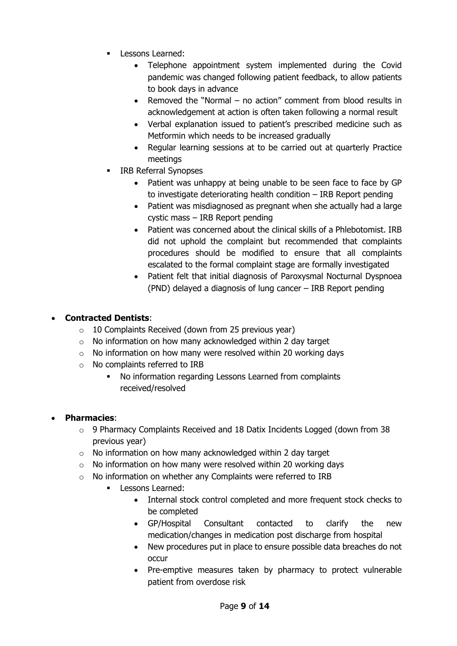- Lessons Learned:
	- Telephone appointment system implemented during the Covid pandemic was changed following patient feedback, to allow patients to book days in advance
	- Removed the "Normal no action" comment from blood results in acknowledgement at action is often taken following a normal result
	- Verbal explanation issued to patient's prescribed medicine such as Metformin which needs to be increased gradually
	- Regular learning sessions at to be carried out at quarterly Practice meetings
- IRB Referral Synopses
	- Patient was unhappy at being unable to be seen face to face by GP to investigate deteriorating health condition – IRB Report pending
	- Patient was misdiagnosed as pregnant when she actually had a large cystic mass – IRB Report pending
	- Patient was concerned about the clinical skills of a Phlebotomist. IRB did not uphold the complaint but recommended that complaints procedures should be modified to ensure that all complaints escalated to the formal complaint stage are formally investigated
	- Patient felt that initial diagnosis of Paroxysmal Nocturnal Dyspnoea (PND) delayed a diagnosis of lung cancer – IRB Report pending

# • **Contracted Dentists**:

- $\circ$  10 Complaints Received (down from 25 previous year)
- $\circ$  No information on how many acknowledged within 2 day target
- o No information on how many were resolved within 20 working days
- o No complaints referred to IRB
	- No information regarding Lessons Learned from complaints received/resolved

# • **Pharmacies**:

- $\circ$  9 Pharmacy Complaints Received and 18 Datix Incidents Logged (down from 38 previous year)
- o No information on how many acknowledged within 2 day target
- $\circ$  No information on how many were resolved within 20 working days
- $\circ$  No information on whether any Complaints were referred to IRB
	- **Lessons Learned:** 
		- Internal stock control completed and more frequent stock checks to be completed
		- GP/Hospital Consultant contacted to clarify the new medication/changes in medication post discharge from hospital
		- New procedures put in place to ensure possible data breaches do not occur
		- Pre-emptive measures taken by pharmacy to protect vulnerable patient from overdose risk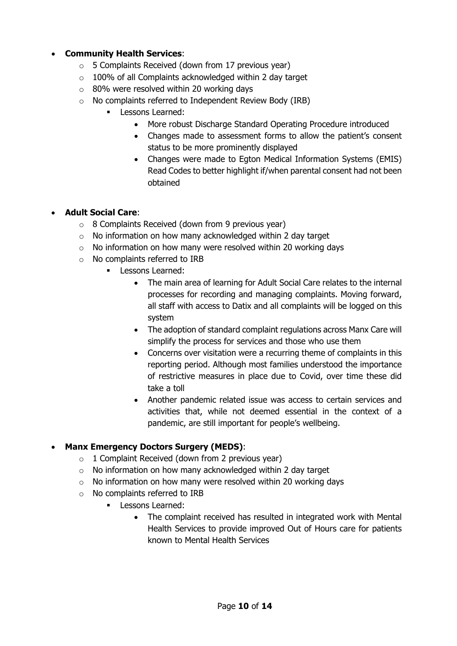### • **Community Health Services**:

- $\circ$  5 Complaints Received (down from 17 previous year)
- $\circ$  100% of all Complaints acknowledged within 2 day target
- $\circ$  80% were resolved within 20 working days
- $\circ$  No complaints referred to Independent Review Body (IRB)
	- **Lessons Learned:** 
		- More robust Discharge Standard Operating Procedure introduced
		- Changes made to assessment forms to allow the patient's consent status to be more prominently displayed
		- Changes were made to Egton Medical Information Systems (EMIS) Read Codes to better highlight if/when parental consent had not been obtained

#### • **Adult Social Care**:

- $\circ$  8 Complaints Received (down from 9 previous year)
- $\circ$  No information on how many acknowledged within 2 day target
- $\circ$  No information on how many were resolved within 20 working days
- o No complaints referred to IRB
	- Lessons Learned:
		- The main area of learning for Adult Social Care relates to the internal processes for recording and managing complaints. Moving forward, all staff with access to Datix and all complaints will be logged on this system
		- The adoption of standard complaint regulations across Manx Care will simplify the process for services and those who use them
		- Concerns over visitation were a recurring theme of complaints in this reporting period. Although most families understood the importance of restrictive measures in place due to Covid, over time these did take a toll
		- Another pandemic related issue was access to certain services and activities that, while not deemed essential in the context of a pandemic, are still important for people's wellbeing.

#### • **Manx Emergency Doctors Surgery (MEDS)**:

- $\circ$  1 Complaint Received (down from 2 previous year)
- $\circ$  No information on how many acknowledged within 2 day target
- $\circ$  No information on how many were resolved within 20 working days
- o No complaints referred to IRB
	- **Lessons Learned:** 
		- The complaint received has resulted in integrated work with Mental Health Services to provide improved Out of Hours care for patients known to Mental Health Services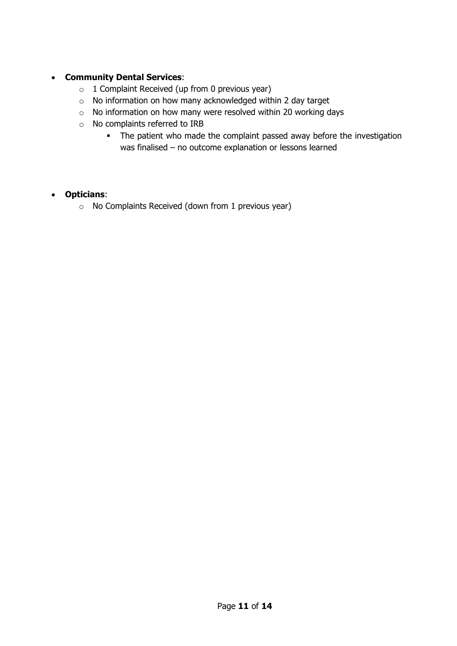#### • **Community Dental Services**:

- $\circ$  1 Complaint Received (up from 0 previous year)
- o No information on how many acknowledged within 2 day target
- o No information on how many were resolved within 20 working days
- o No complaints referred to IRB
	- The patient who made the complaint passed away before the investigation was finalised – no outcome explanation or lessons learned

#### • **Opticians**:

o No Complaints Received (down from 1 previous year)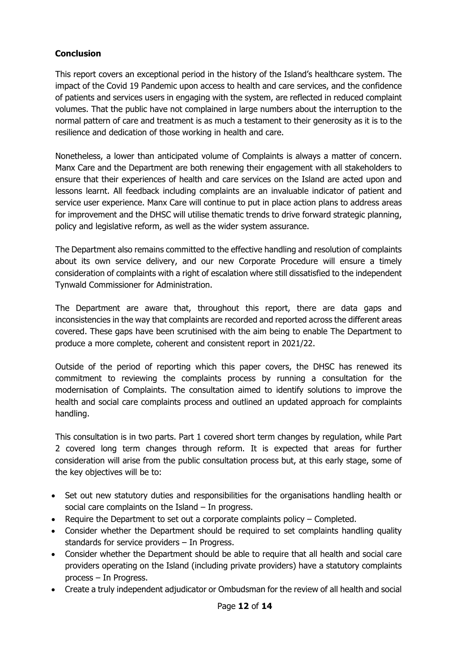# **Conclusion**

This report covers an exceptional period in the history of the Island's healthcare system. The impact of the Covid 19 Pandemic upon access to health and care services, and the confidence of patients and services users in engaging with the system, are reflected in reduced complaint volumes. That the public have not complained in large numbers about the interruption to the normal pattern of care and treatment is as much a testament to their generosity as it is to the resilience and dedication of those working in health and care.

Nonetheless, a lower than anticipated volume of Complaints is always a matter of concern. Manx Care and the Department are both renewing their engagement with all stakeholders to ensure that their experiences of health and care services on the Island are acted upon and lessons learnt. All feedback including complaints are an invaluable indicator of patient and service user experience. Manx Care will continue to put in place action plans to address areas for improvement and the DHSC will utilise thematic trends to drive forward strategic planning, policy and legislative reform, as well as the wider system assurance.

The Department also remains committed to the effective handling and resolution of complaints about its own service delivery, and our new Corporate Procedure will ensure a timely consideration of complaints with a right of escalation where still dissatisfied to the independent Tynwald Commissioner for Administration.

The Department are aware that, throughout this report, there are data gaps and inconsistencies in the way that complaints are recorded and reported across the different areas covered. These gaps have been scrutinised with the aim being to enable The Department to produce a more complete, coherent and consistent report in 2021/22.

Outside of the period of reporting which this paper covers, the DHSC has renewed its commitment to reviewing the complaints process by running a consultation for the modernisation of Complaints. The consultation aimed to identify solutions to improve the health and social care complaints process and outlined an updated approach for complaints handling.

This consultation is in two parts. Part 1 covered short term changes by regulation, while Part 2 covered long term changes through reform. It is expected that areas for further consideration will arise from the public consultation process but, at this early stage, some of the key objectives will be to:

- Set out new statutory duties and responsibilities for the organisations handling health or social care complaints on the Island – In progress.
- Require the Department to set out a corporate complaints policy Completed.
- Consider whether the Department should be required to set complaints handling quality standards for service providers – In Progress.
- Consider whether the Department should be able to require that all health and social care providers operating on the Island (including private providers) have a statutory complaints process – In Progress.
- Create a truly independent adjudicator or Ombudsman for the review of all health and social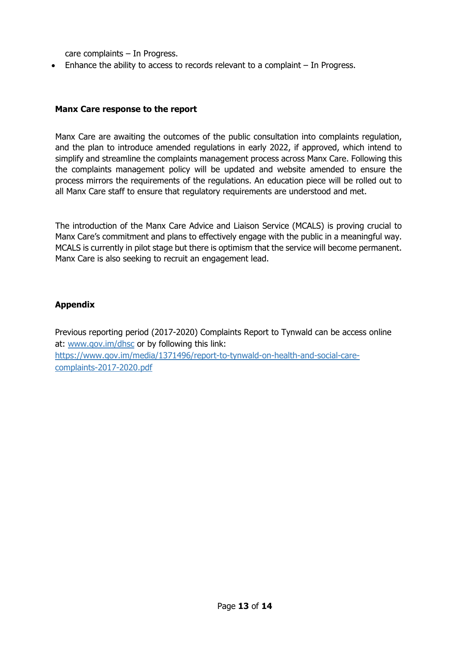care complaints – In Progress.

• Enhance the ability to access to records relevant to a complaint – In Progress.

#### **Manx Care response to the report**

Manx Care are awaiting the outcomes of the public consultation into complaints regulation, and the plan to introduce amended regulations in early 2022, if approved, which intend to simplify and streamline the complaints management process across Manx Care. Following this the complaints management policy will be updated and website amended to ensure the process mirrors the requirements of the regulations. An education piece will be rolled out to all Manx Care staff to ensure that regulatory requirements are understood and met.

The introduction of the Manx Care Advice and Liaison Service (MCALS) is proving crucial to Manx Care's commitment and plans to effectively engage with the public in a meaningful way. MCALS is currently in pilot stage but there is optimism that the service will become permanent. Manx Care is also seeking to recruit an engagement lead.

#### **Appendix**

Previous reporting period (2017-2020) Complaints Report to Tynwald can be access online at: [www.gov.im/dhsc](http://www.gov.im/dhsc) or by following this link: [https://www.gov.im/media/1371496/report-to-tynwald-on-health-and-social-care](https://www.gov.im/media/1371496/report-to-tynwald-on-health-and-social-care-)complaints-2017-2020.pdf